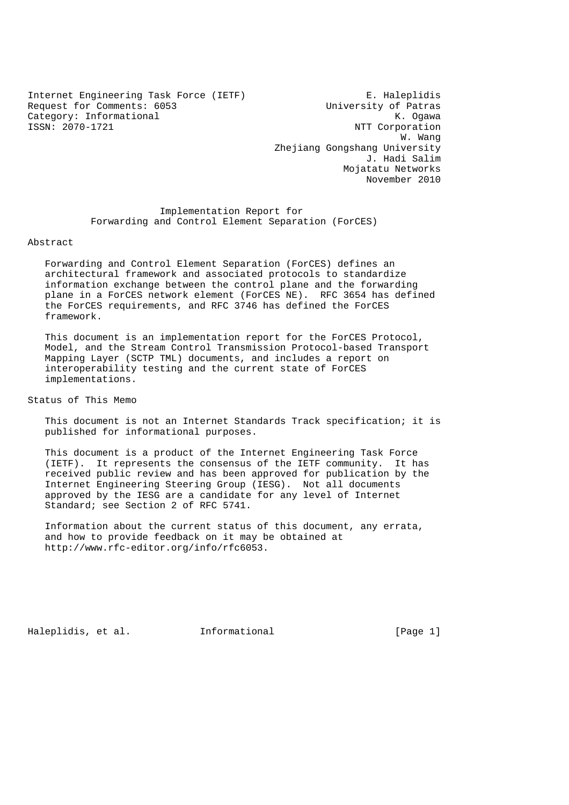Internet Engineering Task Force (IETF) E. Haleplidis<br>Request for Comments: 6053 University of Patras Request for Comments: 6053<br>
Category: Informational Mategory: Informational K. Ogawa Category: Informational<br>ISSN: 2070-1721

NTT Corporation w. Wang with the set of the set of the set of the set of the set of the set of the set of the set of the set of the set of the set of the set of the set of the set of the set of the set of the set of the set of the set of Zhejiang Gongshang University J. Hadi Salim Mojatatu Networks November 2010

> Implementation Report for Forwarding and Control Element Separation (ForCES)

#### Abstract

 Forwarding and Control Element Separation (ForCES) defines an architectural framework and associated protocols to standardize information exchange between the control plane and the forwarding plane in a ForCES network element (ForCES NE). RFC 3654 has defined the ForCES requirements, and RFC 3746 has defined the ForCES framework.

 This document is an implementation report for the ForCES Protocol, Model, and the Stream Control Transmission Protocol-based Transport Mapping Layer (SCTP TML) documents, and includes a report on interoperability testing and the current state of ForCES implementations.

Status of This Memo

 This document is not an Internet Standards Track specification; it is published for informational purposes.

 This document is a product of the Internet Engineering Task Force (IETF). It represents the consensus of the IETF community. It has received public review and has been approved for publication by the Internet Engineering Steering Group (IESG). Not all documents approved by the IESG are a candidate for any level of Internet Standard; see Section 2 of RFC 5741.

 Information about the current status of this document, any errata, and how to provide feedback on it may be obtained at http://www.rfc-editor.org/info/rfc6053.

Haleplidis, et al. Informational [Page 1]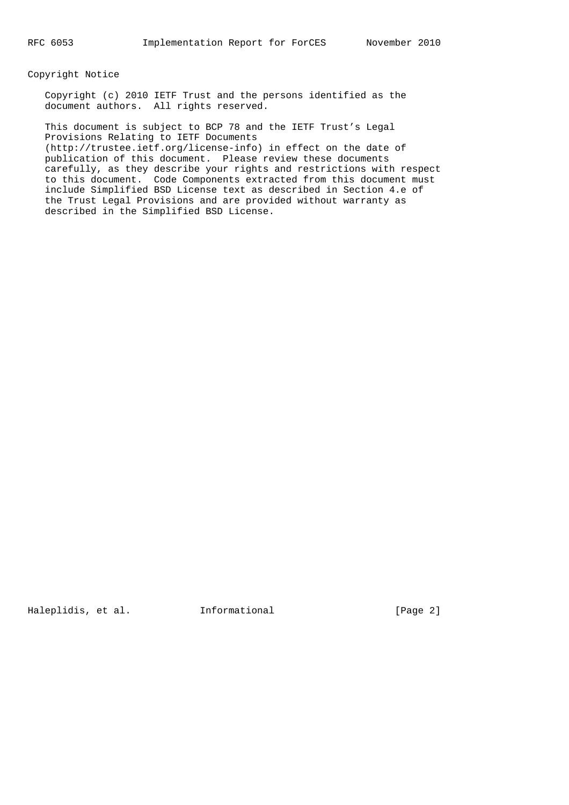Copyright Notice

 Copyright (c) 2010 IETF Trust and the persons identified as the document authors. All rights reserved.

 This document is subject to BCP 78 and the IETF Trust's Legal Provisions Relating to IETF Documents (http://trustee.ietf.org/license-info) in effect on the date of publication of this document. Please review these documents carefully, as they describe your rights and restrictions with respect to this document. Code Components extracted from this document must include Simplified BSD License text as described in Section 4.e of the Trust Legal Provisions and are provided without warranty as described in the Simplified BSD License.

Haleplidis, et al. 1nformational [Page 2]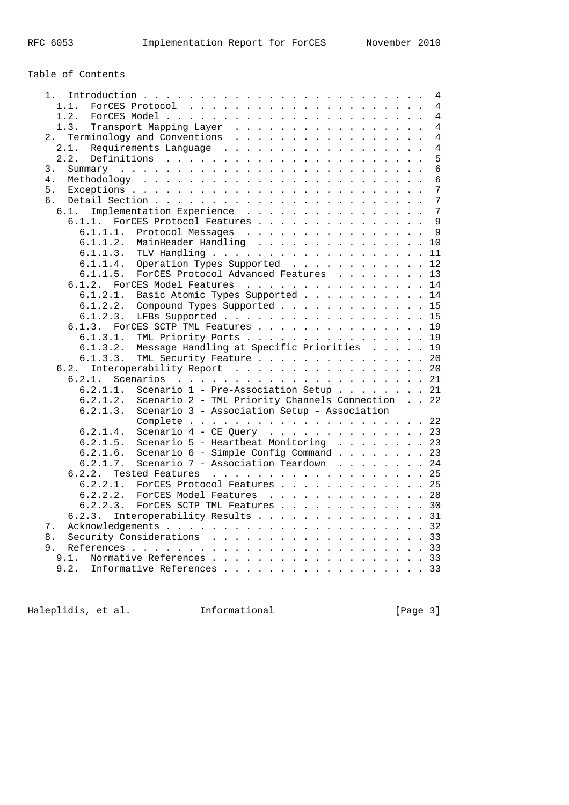Table of Contents

|                                                              |  | 4              |
|--------------------------------------------------------------|--|----------------|
| 1.                                                           |  |                |
| 1.1.                                                         |  | $\overline{4}$ |
| 1.2.                                                         |  | 4              |
| 1.3.<br>Transport Mapping Layer                              |  | $\overline{4}$ |
| Terminology and Conventions<br>2.                            |  | $\overline{4}$ |
| Requirements Language<br>2.1.                                |  | 4              |
| 2.2.                                                         |  | 5              |
| 3.                                                           |  | 6              |
| 4.                                                           |  | 6              |
|                                                              |  |                |
| 5.                                                           |  | 7              |
| б.                                                           |  | 7              |
| Implementation Experience<br>6.1.                            |  | 7              |
| 6.1.1.<br>ForCES Protocol Features                           |  | 9              |
| 6.1.1.1.<br>Protocol Messages                                |  | 9              |
| 6.1.1.2.<br>MainHeader Handling                              |  | 10             |
| 6.1.1.3.                                                     |  | 11             |
| 6.1.1.4.<br>Operation Types Supported                        |  | 12             |
|                                                              |  |                |
| 6.1.1.5.<br>ForCES Protocol Advanced Features                |  | 13             |
| 6.1.2. ForCES Model Features                                 |  | 14             |
| 6.1.2.1.<br>Basic Atomic Types Supported                     |  | 14             |
| 6.1.2.2.<br>Compound Types Supported                         |  | 15             |
| LFBs Supported<br>6.1.2.3.                                   |  | 15             |
| 6.1.3.<br>ForCES SCTP TML Features                           |  | 19             |
| TML Priority Ports<br>6.1.3.1.                               |  | 19             |
| Message Handling at Specific Priorities<br>6.1.3.2.          |  | 19             |
| TML Security Feature<br>6.1.3.3.                             |  | 20             |
|                                                              |  |                |
| Interoperability Report<br>6.2.                              |  | 20             |
| 6.2.1.                                                       |  | 21             |
| Scenario 1 - Pre-Association Setup 21<br>6.2.1.1.            |  |                |
| Scenario 2 - TML Priority Channels Connection 22<br>6.2.1.2. |  |                |
| Scenario 3 - Association Setup - Association<br>6.2.1.3.     |  |                |
|                                                              |  | 22             |
| Scenario $4$ - CE Query<br>6.2.1.4.                          |  | 23             |
| Scenario 5 - Heartbeat Monitoring<br>6.2.1.5.                |  | 23             |
| 6.2.1.6.<br>Scenario 6 - Simple Config Command 23            |  |                |
| Scenario 7 - Association Teardown 24<br>6.2.1.7.             |  |                |
|                                                              |  |                |
| Tested Features 25<br>6.2.2.                                 |  |                |
| 6.2.2.1.<br>ForCES Protocol Features                         |  | 25             |
| 6.2.2.2.<br>ForCES Model Features                            |  | 28             |
| 6.2.2.3.<br>ForCES SCTP TML Features 30                      |  |                |
| Interoperability Results 31<br>6.2.3.                        |  |                |
| 7.                                                           |  |                |
| Security Considerations 33<br>8.                             |  |                |
| 9.                                                           |  | 33             |
| Normative References 33<br>9.1.                              |  |                |
| 9.2.                                                         |  |                |
| Informative References 33                                    |  |                |

Haleplidis, et al. Informational [Page 3]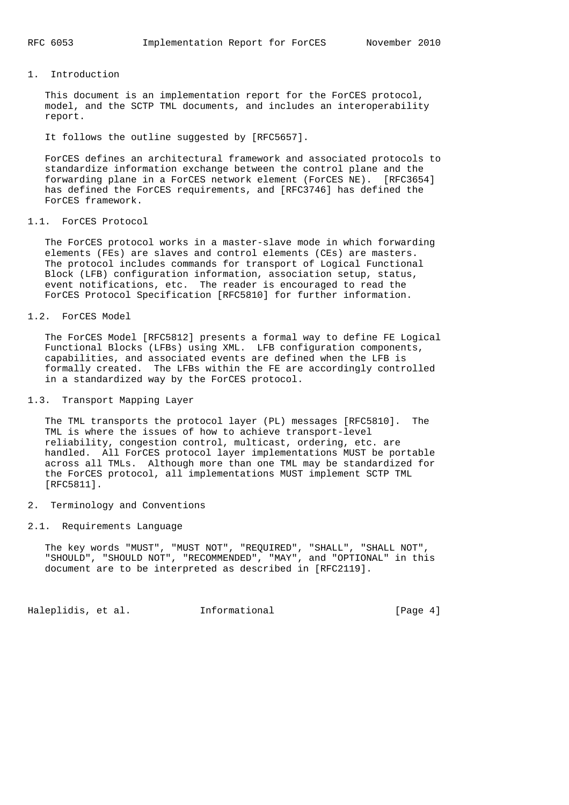## 1. Introduction

 This document is an implementation report for the ForCES protocol, model, and the SCTP TML documents, and includes an interoperability report.

It follows the outline suggested by [RFC5657].

 ForCES defines an architectural framework and associated protocols to standardize information exchange between the control plane and the forwarding plane in a ForCES network element (ForCES NE). [RFC3654] has defined the ForCES requirements, and [RFC3746] has defined the ForCES framework.

### 1.1. ForCES Protocol

 The ForCES protocol works in a master-slave mode in which forwarding elements (FEs) are slaves and control elements (CEs) are masters. The protocol includes commands for transport of Logical Functional Block (LFB) configuration information, association setup, status, event notifications, etc. The reader is encouraged to read the ForCES Protocol Specification [RFC5810] for further information.

#### 1.2. ForCES Model

 The ForCES Model [RFC5812] presents a formal way to define FE Logical Functional Blocks (LFBs) using XML. LFB configuration components, capabilities, and associated events are defined when the LFB is formally created. The LFBs within the FE are accordingly controlled in a standardized way by the ForCES protocol.

## 1.3. Transport Mapping Layer

 The TML transports the protocol layer (PL) messages [RFC5810]. The TML is where the issues of how to achieve transport-level reliability, congestion control, multicast, ordering, etc. are handled. All ForCES protocol layer implementations MUST be portable across all TMLs. Although more than one TML may be standardized for the ForCES protocol, all implementations MUST implement SCTP TML [RFC5811].

### 2. Terminology and Conventions

### 2.1. Requirements Language

 The key words "MUST", "MUST NOT", "REQUIRED", "SHALL", "SHALL NOT", "SHOULD", "SHOULD NOT", "RECOMMENDED", "MAY", and "OPTIONAL" in this document are to be interpreted as described in [RFC2119].

Haleplidis, et al. 1nformational [Page 4]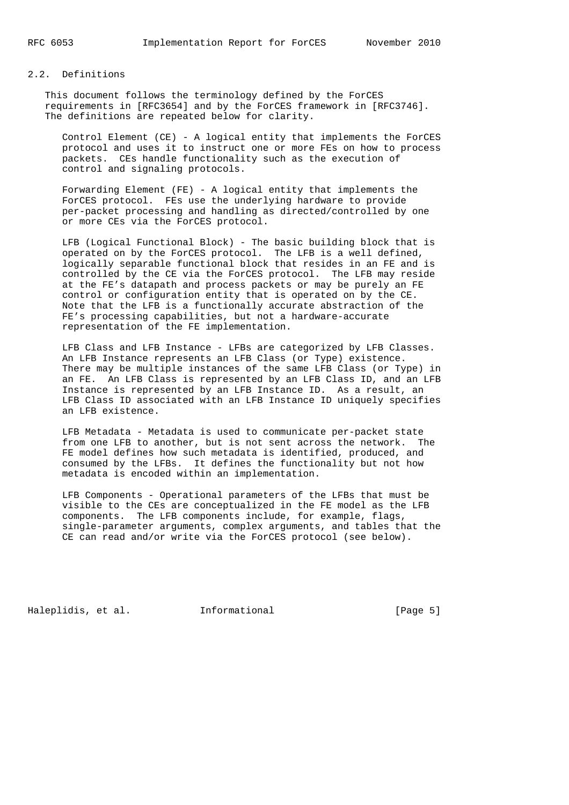## 2.2. Definitions

 This document follows the terminology defined by the ForCES requirements in [RFC3654] and by the ForCES framework in [RFC3746]. The definitions are repeated below for clarity.

 Control Element (CE) - A logical entity that implements the ForCES protocol and uses it to instruct one or more FEs on how to process packets. CEs handle functionality such as the execution of control and signaling protocols.

 Forwarding Element (FE) - A logical entity that implements the ForCES protocol. FEs use the underlying hardware to provide per-packet processing and handling as directed/controlled by one or more CEs via the ForCES protocol.

 LFB (Logical Functional Block) - The basic building block that is operated on by the ForCES protocol. The LFB is a well defined, logically separable functional block that resides in an FE and is controlled by the CE via the ForCES protocol. The LFB may reside at the FE's datapath and process packets or may be purely an FE control or configuration entity that is operated on by the CE. Note that the LFB is a functionally accurate abstraction of the FE's processing capabilities, but not a hardware-accurate representation of the FE implementation.

 LFB Class and LFB Instance - LFBs are categorized by LFB Classes. An LFB Instance represents an LFB Class (or Type) existence. There may be multiple instances of the same LFB Class (or Type) in an FE. An LFB Class is represented by an LFB Class ID, and an LFB Instance is represented by an LFB Instance ID. As a result, an LFB Class ID associated with an LFB Instance ID uniquely specifies an LFB existence.

 LFB Metadata - Metadata is used to communicate per-packet state from one LFB to another, but is not sent across the network. The FE model defines how such metadata is identified, produced, and consumed by the LFBs. It defines the functionality but not how metadata is encoded within an implementation.

 LFB Components - Operational parameters of the LFBs that must be visible to the CEs are conceptualized in the FE model as the LFB components. The LFB components include, for example, flags, single-parameter arguments, complex arguments, and tables that the CE can read and/or write via the ForCES protocol (see below).

Haleplidis, et al. 1nformational [Page 5]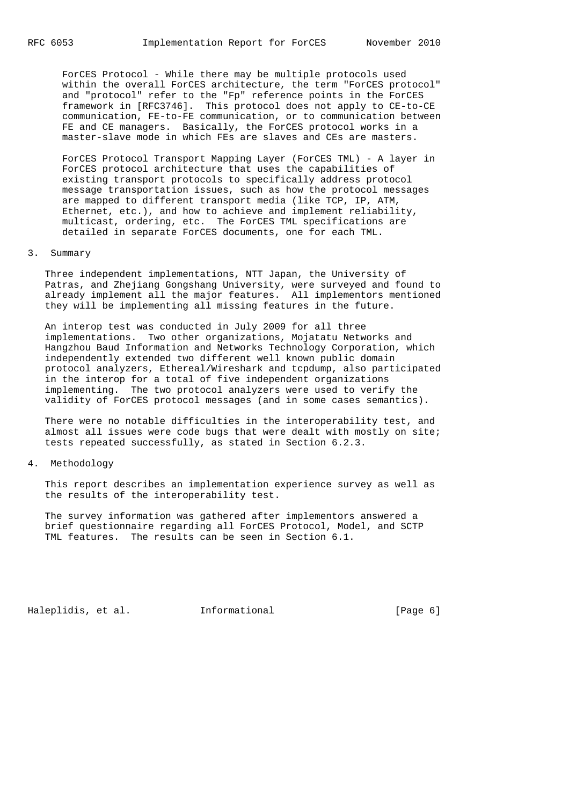ForCES Protocol - While there may be multiple protocols used within the overall ForCES architecture, the term "ForCES protocol" and "protocol" refer to the "Fp" reference points in the ForCES framework in [RFC3746]. This protocol does not apply to CE-to-CE communication, FE-to-FE communication, or to communication between FE and CE managers. Basically, the ForCES protocol works in a master-slave mode in which FEs are slaves and CEs are masters.

 ForCES Protocol Transport Mapping Layer (ForCES TML) - A layer in ForCES protocol architecture that uses the capabilities of existing transport protocols to specifically address protocol message transportation issues, such as how the protocol messages are mapped to different transport media (like TCP, IP, ATM, Ethernet, etc.), and how to achieve and implement reliability, multicast, ordering, etc. The ForCES TML specifications are detailed in separate ForCES documents, one for each TML.

### 3. Summary

 Three independent implementations, NTT Japan, the University of Patras, and Zhejiang Gongshang University, were surveyed and found to already implement all the major features. All implementors mentioned they will be implementing all missing features in the future.

 An interop test was conducted in July 2009 for all three implementations. Two other organizations, Mojatatu Networks and Hangzhou Baud Information and Networks Technology Corporation, which independently extended two different well known public domain protocol analyzers, Ethereal/Wireshark and tcpdump, also participated in the interop for a total of five independent organizations implementing. The two protocol analyzers were used to verify the validity of ForCES protocol messages (and in some cases semantics).

 There were no notable difficulties in the interoperability test, and almost all issues were code bugs that were dealt with mostly on site; tests repeated successfully, as stated in Section 6.2.3.

#### 4. Methodology

 This report describes an implementation experience survey as well as the results of the interoperability test.

 The survey information was gathered after implementors answered a brief questionnaire regarding all ForCES Protocol, Model, and SCTP TML features. The results can be seen in Section 6.1.

Haleplidis, et al. Informational [Page 6]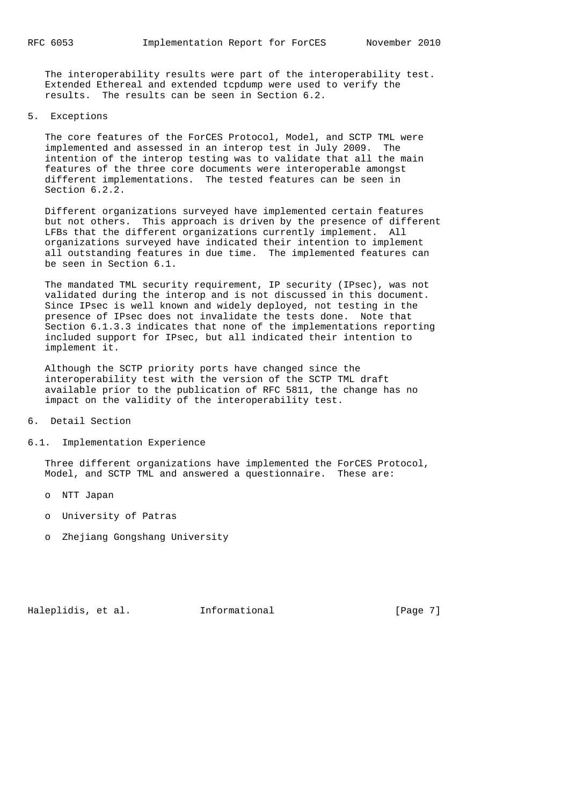The interoperability results were part of the interoperability test. Extended Ethereal and extended tcpdump were used to verify the results. The results can be seen in Section 6.2.

5. Exceptions

 The core features of the ForCES Protocol, Model, and SCTP TML were implemented and assessed in an interop test in July 2009. The intention of the interop testing was to validate that all the main features of the three core documents were interoperable amongst different implementations. The tested features can be seen in Section 6.2.2.

 Different organizations surveyed have implemented certain features but not others. This approach is driven by the presence of different LFBs that the different organizations currently implement. All organizations surveyed have indicated their intention to implement all outstanding features in due time. The implemented features can be seen in Section 6.1.

 The mandated TML security requirement, IP security (IPsec), was not validated during the interop and is not discussed in this document. Since IPsec is well known and widely deployed, not testing in the presence of IPsec does not invalidate the tests done. Note that Section 6.1.3.3 indicates that none of the implementations reporting included support for IPsec, but all indicated their intention to implement it.

 Although the SCTP priority ports have changed since the interoperability test with the version of the SCTP TML draft available prior to the publication of RFC 5811, the change has no impact on the validity of the interoperability test.

- 6. Detail Section
- 6.1. Implementation Experience

 Three different organizations have implemented the ForCES Protocol, Model, and SCTP TML and answered a questionnaire. These are:

- o NTT Japan
- o University of Patras
- o Zhejiang Gongshang University

Haleplidis, et al. 1nformational [Page 7]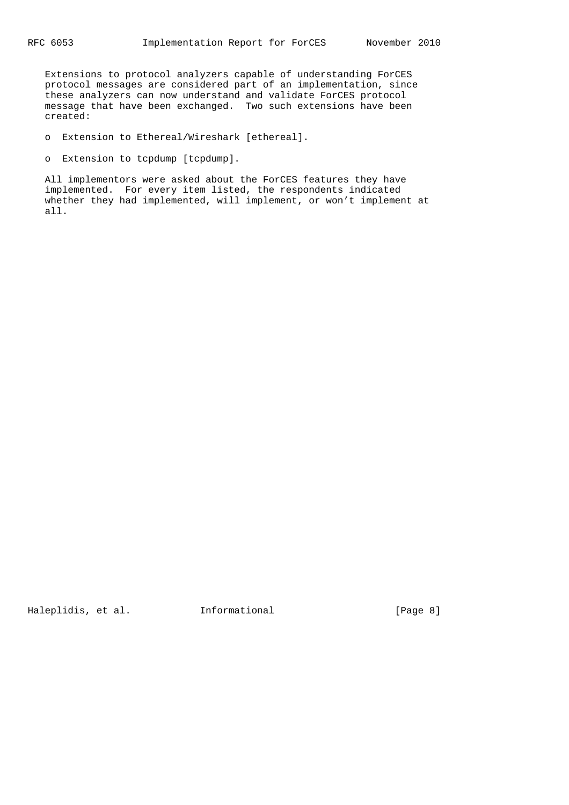Extensions to protocol analyzers capable of understanding ForCES protocol messages are considered part of an implementation, since these analyzers can now understand and validate ForCES protocol message that have been exchanged. Two such extensions have been created:

o Extension to Ethereal/Wireshark [ethereal].

o Extension to tcpdump [tcpdump].

 All implementors were asked about the ForCES features they have implemented. For every item listed, the respondents indicated whether they had implemented, will implement, or won't implement at all.

Haleplidis, et al. 1nformational [Page 8]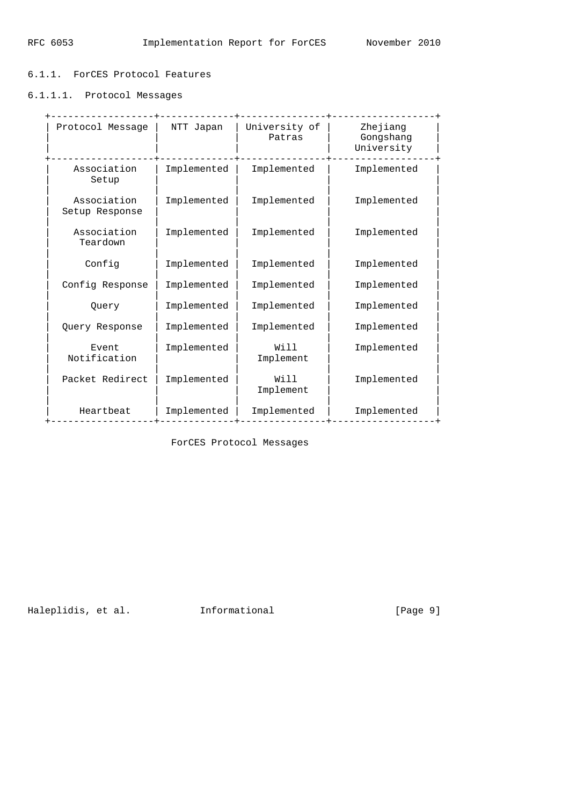# 6.1.1. ForCES Protocol Features

6.1.1.1. Protocol Messages

| Protocol Message              | NTT Japan   | University of<br>Patras | Zhejiang<br>Gongshang<br>University |
|-------------------------------|-------------|-------------------------|-------------------------------------|
| Association<br>Setup          | Implemented | Implemented             | Implemented                         |
| Association<br>Setup Response | Implemented | Implemented             | Implemented                         |
| Association<br>Teardown       | Implemented | Implemented             | Implemented                         |
| Config                        | Implemented | Implemented             | Implemented                         |
| Config Response               | Implemented | Implemented             | Implemented                         |
| Query                         | Implemented | Implemented             | Implemented                         |
| Query Response                | Implemented | Implemented             | Implemented                         |
| Event<br>Notification         | Implemented | Will<br>Implement       | Implemented                         |
| Packet Redirect               | Implemented | Will<br>Implement       | Implemented                         |
| Heartbeat                     | Implemented | Implemented             | Implemented                         |

ForCES Protocol Messages

Haleplidis, et al. Informational [Page 9]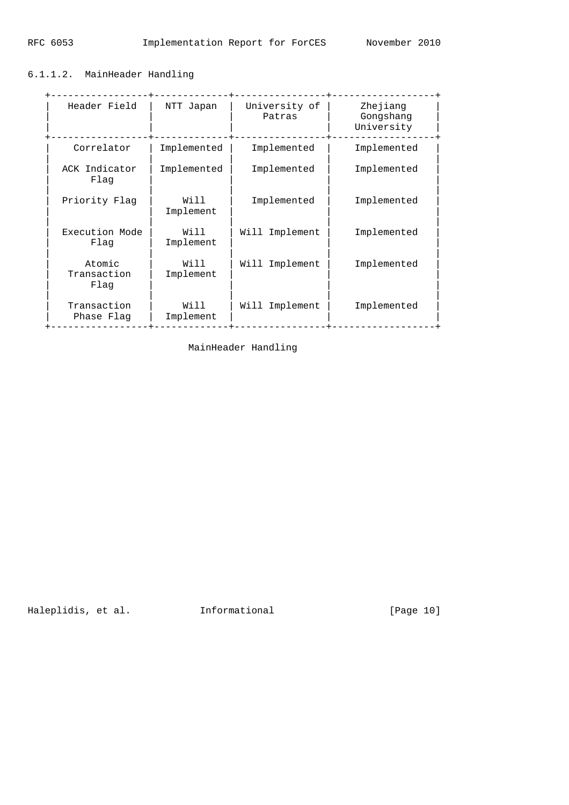# 6.1.1.2. MainHeader Handling

| Header Field                  | NTT Japan         | University of<br>Patras | Zhejiang<br>Gongshang<br>University |
|-------------------------------|-------------------|-------------------------|-------------------------------------|
| Correlator                    | Implemented       | Implemented             | Implemented                         |
| ACK Indicator<br>Flaq         | Implemented       | Implemented             | Implemented                         |
| Priority Flag                 | Will<br>Implement | Implemented             | Implemented                         |
| Execution Mode<br>Flaq        | Will<br>Implement | Implement<br>Will       | Implemented                         |
| Atomic<br>Transaction<br>Flaq | Will<br>Implement | Will<br>Implement       | Implemented                         |
| Transaction<br>Phase Flag     | Will<br>Implement | Implement<br>Will       | Implemented                         |

MainHeader Handling

Haleplidis, et al. Informational [Page 10]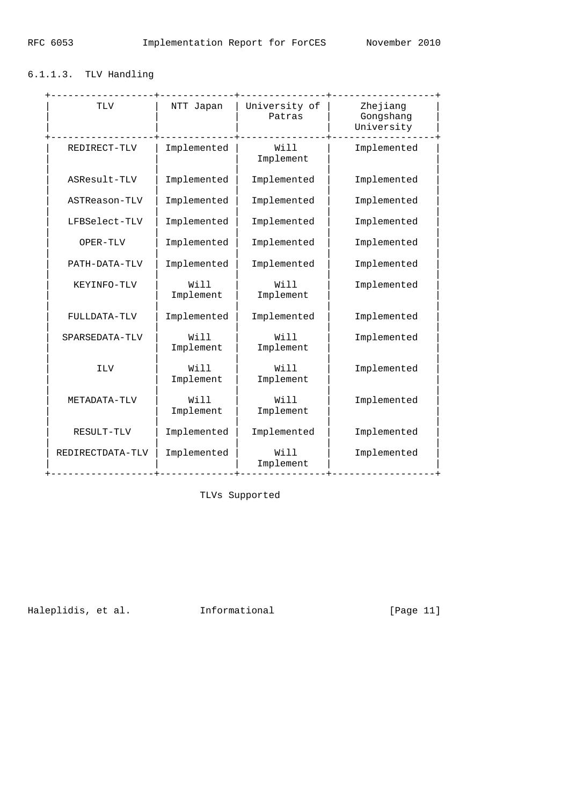# 6.1.1.3. TLV Handling

| TLV              | NTT Japan         | University of<br>Patras | Zhejiang<br>Gongshang<br>University |
|------------------|-------------------|-------------------------|-------------------------------------|
| REDIRECT-TLV     | Implemented       | Will<br>Implement       | Implemented                         |
| ASResult-TLV     | Implemented       | Implemented             | Implemented                         |
| ASTReason-TLV    | Implemented       | Implemented             | Implemented                         |
| LFBSelect-TLV    | Implemented       | Implemented             | Implemented                         |
| OPER-TLV         | Implemented       | Implemented             | Implemented                         |
| PATH-DATA-TLV    | Implemented       | Implemented             | Implemented                         |
| KEYINFO-TLV      | Will<br>Implement | Will<br>Implement       | Implemented                         |
| FULLDATA-TLV     | Implemented       | Implemented             | Implemented                         |
| SPARSEDATA-TLV   | Will<br>Implement | Will<br>Implement       | Implemented                         |
| <b>ILV</b>       | Will<br>Implement | Will<br>Implement       | Implemented                         |
| METADATA-TLV     | Will<br>Implement | Will<br>Implement       | Implemented                         |
| RESULT-TLV       | Implemented       | Implemented             | Implemented                         |
| REDIRECTDATA-TLV | Implemented       | Will<br>Implement       | Implemented                         |

TLVs Supported

Haleplidis, et al. 1nformational [Page 11]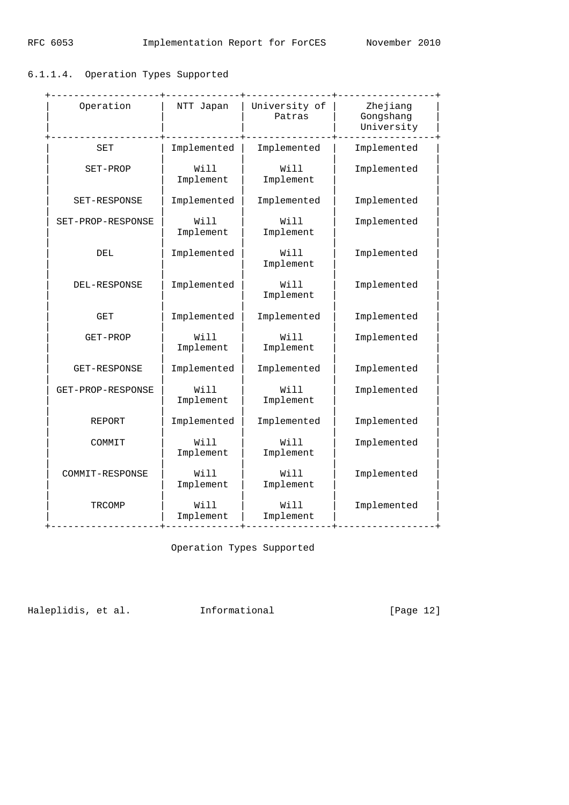# 6.1.1.4. Operation Types Supported

| Operation               | -------------<br>NTT Japan | -------------+<br>University of<br>Patras | Zhejiang<br>Gongshang<br>University |
|-------------------------|----------------------------|-------------------------------------------|-------------------------------------|
| SET                     | Implemented                | Implemented                               | Implemented                         |
| SET-PROP                | Will<br>Implement          | Will<br>Implement                         | Implemented                         |
| SET-RESPONSE            | Implemented                | Implemented                               | Implemented                         |
| SET-PROP-RESPONSE       | Will<br>Implement          | Will<br>Implement                         | Implemented                         |
| DEL                     | Implemented                | Will<br>Implement                         | Implemented                         |
| DEL-RESPONSE            | Implemented                | Will<br>Implement                         | Implemented                         |
| GET                     | Implemented                | Implemented                               | Implemented                         |
| GET-PROP                | Will<br>Implement          | Will<br>Implement                         | Implemented                         |
| GET-RESPONSE            | Implemented                | Implemented                               | Implemented                         |
| GET-PROP-RESPONSE       | Will<br>Implement          | Will<br>Implement                         | Implemented                         |
| REPORT                  | Implemented                | Implemented                               | Implemented                         |
| COMMIT                  | Will<br>Implement          | Will<br>Implement                         | Implemented                         |
| COMMIT-RESPONSE         | Will<br>Implement          | Will<br>Implement                         | Implemented                         |
| TRCOMP<br>------------+ | Will<br>Implement          | Will<br>Implement<br>----------+          | Implemented                         |

Operation Types Supported

Haleplidis, et al. 1nformational [Page 12]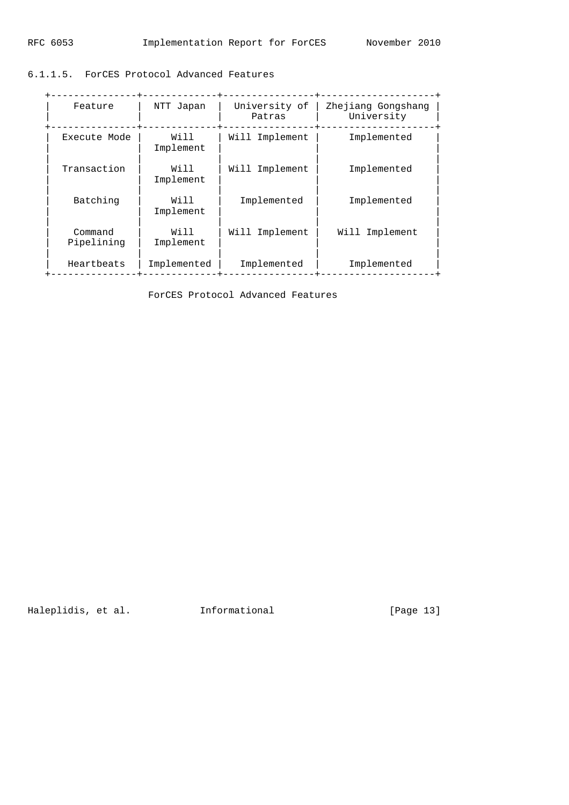6.1.1.5. ForCES Protocol Advanced Features

| Feature               | NTT Japan         | University of<br>Patras | Zhejiang Gongshang<br>University |
|-----------------------|-------------------|-------------------------|----------------------------------|
| Execute Mode          | Will<br>Implement | Will Implement          | Implemented                      |
| Transaction           | Will<br>Implement | Will Implement          | Implemented                      |
| Batching              | Will<br>Implement | Implemented             | Implemented                      |
| Command<br>Pipelining | Will<br>Implement | Will Implement          | Will Implement                   |
| Heartbeats            | Implemented       | Implemented             | Implemented                      |

ForCES Protocol Advanced Features

Haleplidis, et al. 1nformational [Page 13]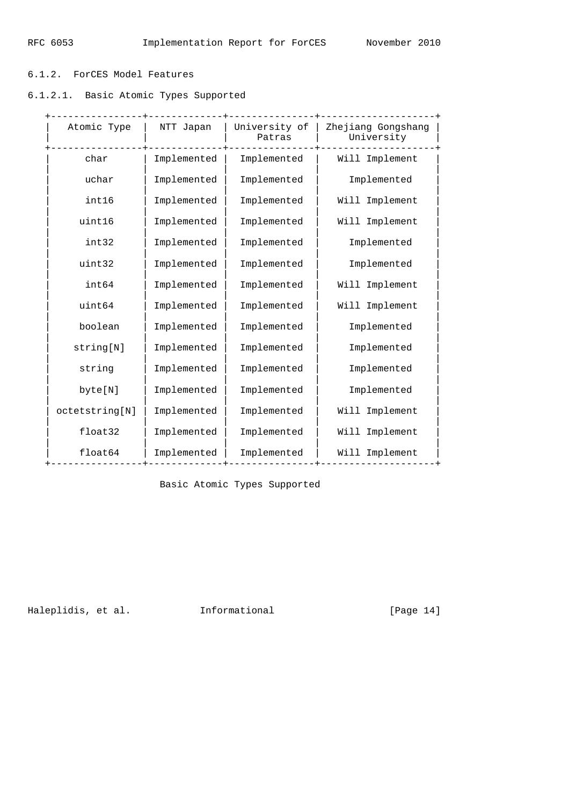# 6.1.2. ForCES Model Features

6.1.2.1. Basic Atomic Types Supported

| Atomic Type    | NTT Japan   | University of<br>Patras | Zhejiang Gongshang<br>University |
|----------------|-------------|-------------------------|----------------------------------|
| char           | Implemented | Implemented             | Will Implement                   |
| uchar          | Implemented | Implemented             | Implemented                      |
| int16          | Implemented | Implemented             | Will Implement                   |
| uint16         | Implemented | Implemented             | Will Implement                   |
| int32          | Implemented | Implemented             | Implemented                      |
| uint32         | Implemented | Implemented             | Implemented                      |
| int64          | Implemented | Implemented             | Will Implement                   |
| uint64         | Implemented | Implemented             | Will Implement                   |
| boolean        | Implemented | Implemented             | Implemented                      |
| string[N]      | Implemented | Implemented             | Implemented                      |
| string         | Implemented | Implemented             | Implemented                      |
| byte[N]        | Implemented | Implemented             | Implemented                      |
| octetstring[N] | Implemented | Implemented             | Will Implement                   |
| float32        | Implemented | Implemented             | Will Implement                   |
| float64        | Implemented | Implemented             | Will Implement                   |

Basic Atomic Types Supported

Haleplidis, et al. 1nformational [Page 14]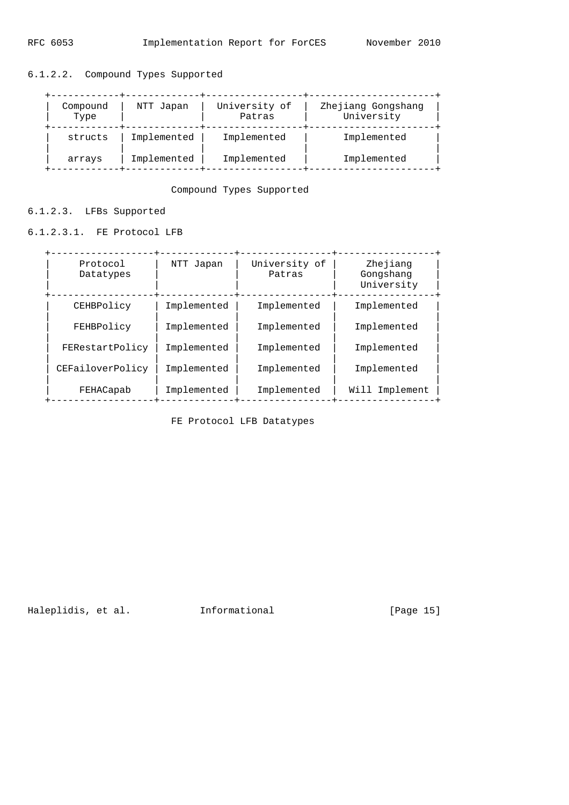| Compound<br>Type | NTT Japan   | University of<br>Patras | Zhejiang Gongshang<br>University |
|------------------|-------------|-------------------------|----------------------------------|
| structs          | Implemented | Implemented             | Implemented                      |
| arrays           | Implemented | Implemented             | Implemented                      |

# 6.1.2.2. Compound Types Supported

Compound Types Supported

6.1.2.3. LFBs Supported

6.1.2.3.1. FE Protocol LFB

| Protocol<br>Datatypes | NTT Japan   | University of<br>Patras | Zhejiang<br>Gongshang<br>University |
|-----------------------|-------------|-------------------------|-------------------------------------|
| CEHBPolicy            | Implemented | Implemented             | Implemented                         |
| FEHBPolicy            | Implemented | Implemented             | Implemented                         |
| FERestartPolicy       | Implemented | Implemented             | Implemented                         |
| CEFailoverPolicy      | Implemented | Implemented             | Implemented                         |
| FEHACapab             | Implemented | Implemented             | Will Implement                      |

FE Protocol LFB Datatypes

Haleplidis, et al. 1nformational [Page 15]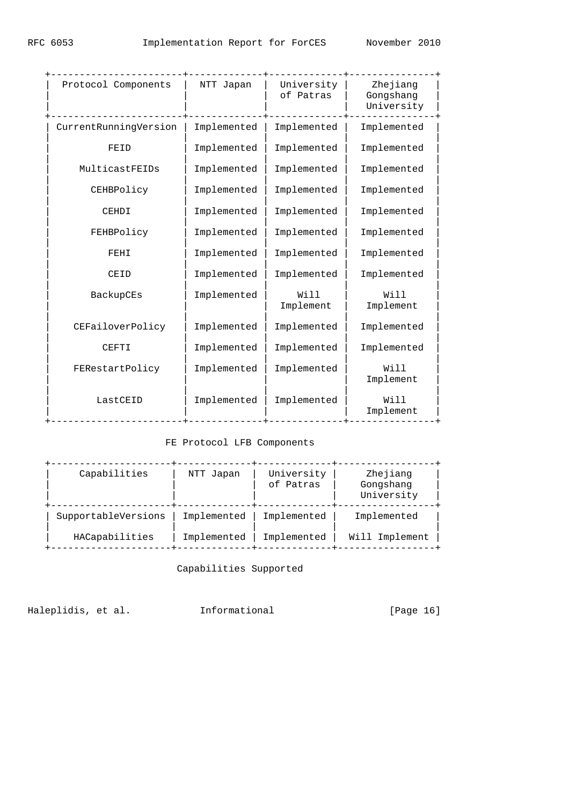| Protocol Components   | NTT Japan   | University<br>of Patras | Zhejiang<br>Gongshang<br>University |
|-----------------------|-------------|-------------------------|-------------------------------------|
| CurrentRunningVersion | Implemented | Implemented             | Implemented                         |
| FEID                  | Implemented | Implemented             | Implemented                         |
| MulticastFEIDs        | Implemented | Implemented             | Implemented                         |
| CEHBPolicy            | Implemented | Implemented             | Implemented                         |
| CEHDI                 | Implemented | Implemented             | Implemented                         |
| FEHBPolicy            | Implemented | Implemented             | Implemented                         |
| FEHI                  | Implemented | Implemented             | Implemented                         |
| CEID                  | Implemented | Implemented             | Implemented                         |
| BackupCEs             | Implemented | Will<br>Implement       | Will<br>Implement                   |
| CEFailoverPolicy      | Implemented | Implemented             | Implemented                         |
| CEFTI                 | Implemented | Implemented             | Implemented                         |
| FERestartPolicy       | Implemented | Implemented             | Will<br>Implement                   |
| LastCEID              | Implemented | Implemented             | Will<br>Implement                   |
|                       |             |                         |                                     |

# FE Protocol LFB Components

| Capabilities        | NTT Japan   | University<br>of Patras | Zhejiang<br>Gongshang<br>University |
|---------------------|-------------|-------------------------|-------------------------------------|
| SupportableVersions | Implemented | Implemented             | Implemented                         |
| HACapabilities      | Implemented | Implemented             | Will Implement                      |

Capabilities Supported

Haleplidis, et al. 1nformational [Page 16]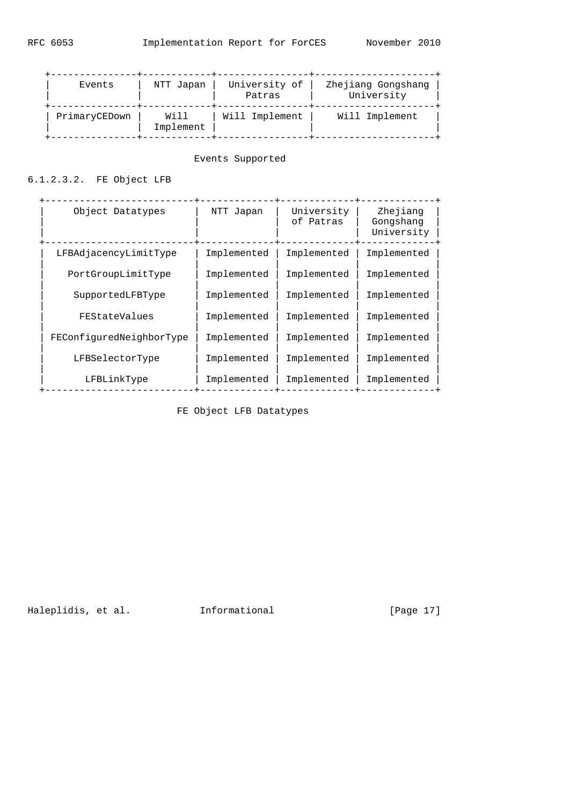| Events        | NTT Japan         | University of<br>Patras | Zhejiang Gongshang<br>University |
|---------------|-------------------|-------------------------|----------------------------------|
| PrimaryCEDown | Will<br>Implement | Will Implement          | Will Implement                   |

## Events Supported

# 6.1.2.3.2. FE Object LFB

| Object Datatypes         | NTT Japan   | University<br>of Patras | Zhejiang<br>Gongshang<br>University |
|--------------------------|-------------|-------------------------|-------------------------------------|
| LFBAdjacencyLimitType    | Implemented | Implemented             | Implemented                         |
| PortGroupLimitType       | Implemented | Implemented             | Implemented                         |
| SupportedLFBType         | Implemented | Implemented             | Implemented                         |
| FEStateValues            | Implemented | Implemented             | Implemented                         |
| FEConfiguredNeighborType | Implemented | Implemented             | Implemented                         |
| LFBSelectorType          | Implemented | Implemented             | Implemented                         |
| LFBLinkType              | Implemented | Implemented             | Implemented                         |

FE Object LFB Datatypes

Haleplidis, et al. 1nformational [Page 17]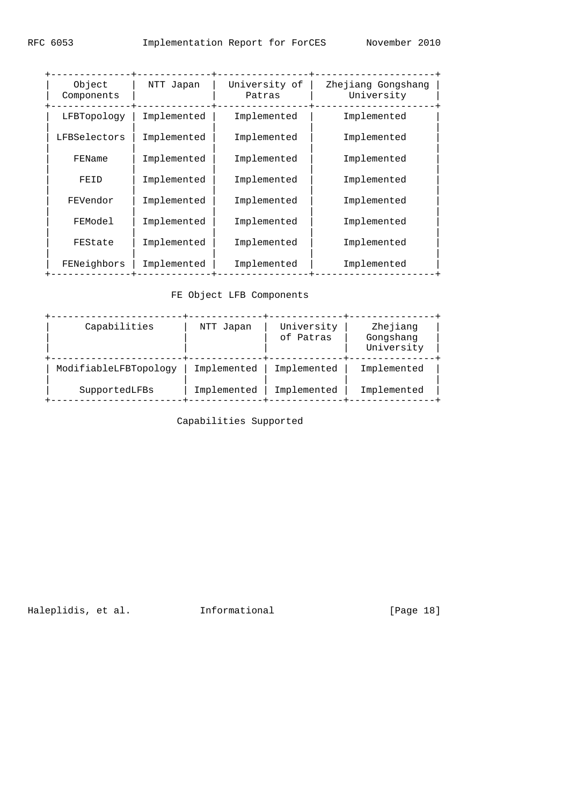| Object<br>Components | NTT Japan   | University of<br>Patras | Zhejiang Gongshang<br>University |
|----------------------|-------------|-------------------------|----------------------------------|
| LFBTopology          | Implemented | Implemented             | Implemented                      |
| LFBSelectors         | Implemented | Implemented             | Implemented                      |
| FEName               | Implemented | Implemented             | Implemented                      |
| FEID                 | Implemented | Implemented             | Implemented                      |
| FEVendor             | Implemented | Implemented             | Implemented                      |
| FEModel              | Implemented | Implemented             | Implemented                      |
| FEState              | Implemented | Implemented             | Implemented                      |
| FENeighbors          | Implemented | Implemented             | Implemented                      |
|                      |             |                         |                                  |

# FE Object LFB Components

| Capabilities          | NTT Japan   | University<br>of Patras | Zhejiang<br>Gongshang<br>University |
|-----------------------|-------------|-------------------------|-------------------------------------|
| ModifiableLFBTopology | Implemented | Implemented             | Implemented                         |
| SupportedLFBs         | Implemented | Implemented             | Implemented                         |

Capabilities Supported

Haleplidis, et al. 1nformational [Page 18]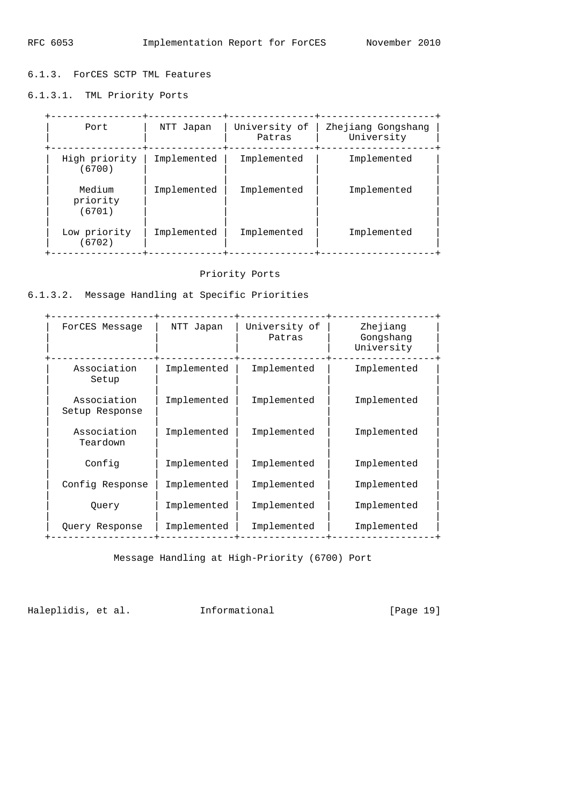6.1.3. ForCES SCTP TML Features

6.1.3.1. TML Priority Ports

| Port                         | NTT Japan   | University of<br>Patras | Zhejiang Gongshang<br>University |
|------------------------------|-------------|-------------------------|----------------------------------|
| High priority<br>(6700)      | Implemented | Implemented             | Implemented                      |
| Medium<br>priority<br>(6701) | Implemented | Implemented             | Implemented                      |
| Low priority<br>(6702)       | Implemented | Implemented             | Implemented                      |

# Priority Ports

6.1.3.2. Message Handling at Specific Priorities

| ForCES Message                | NTT Japan   | University of<br>Patras | Zhejiang<br>Gongshang<br>University |
|-------------------------------|-------------|-------------------------|-------------------------------------|
| Association<br>Setup          | Implemented | Implemented             | Implemented                         |
| Association<br>Setup Response | Implemented | Implemented             | Implemented                         |
| Association<br>Teardown       | Implemented | Implemented             | Implemented                         |
| Config                        | Implemented | Implemented             | Implemented                         |
| Config Response               | Implemented | Implemented             | Implemented                         |
| Ouery                         | Implemented | Implemented             | Implemented                         |
| Query Response                | Implemented | Implemented             | Implemented                         |
|                               |             |                         |                                     |

Message Handling at High-Priority (6700) Port

Haleplidis, et al. 1nformational [Page 19]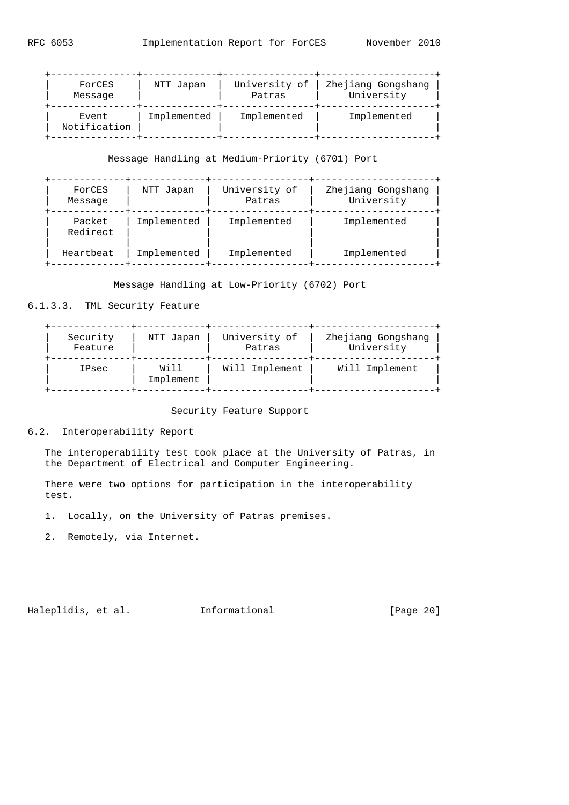| ForCES                | NTT Japan   | University of | Zhejiang Gongshang |
|-----------------------|-------------|---------------|--------------------|
| Message               |             | Patras        | University         |
| Event<br>Notification | Implemented | Implemented   | Implemented        |

## Message Handling at Medium-Priority (6701) Port

| ForCES<br>Message  | NTT Japan   | University of<br>Patras | Zhejiang Gongshang<br>University |
|--------------------|-------------|-------------------------|----------------------------------|
| Packet<br>Redirect | Implemented | Implemented             | Implemented                      |
| Heartbeat          | Implemented | Implemented             | Implemented                      |

Message Handling at Low-Priority (6702) Port

# 6.1.3.3. TML Security Feature

| Security | NTT Japan         | University of  | Zhejiang Gongshang |
|----------|-------------------|----------------|--------------------|
| Feature  |                   | Patras         | University         |
| IPsec    | Will<br>Implement | Will Implement | Will Implement     |

Security Feature Support

## 6.2. Interoperability Report

 The interoperability test took place at the University of Patras, in the Department of Electrical and Computer Engineering.

 There were two options for participation in the interoperability test.

- 1. Locally, on the University of Patras premises.
- 2. Remotely, via Internet.

Haleplidis, et al. 1nformational [Page 20]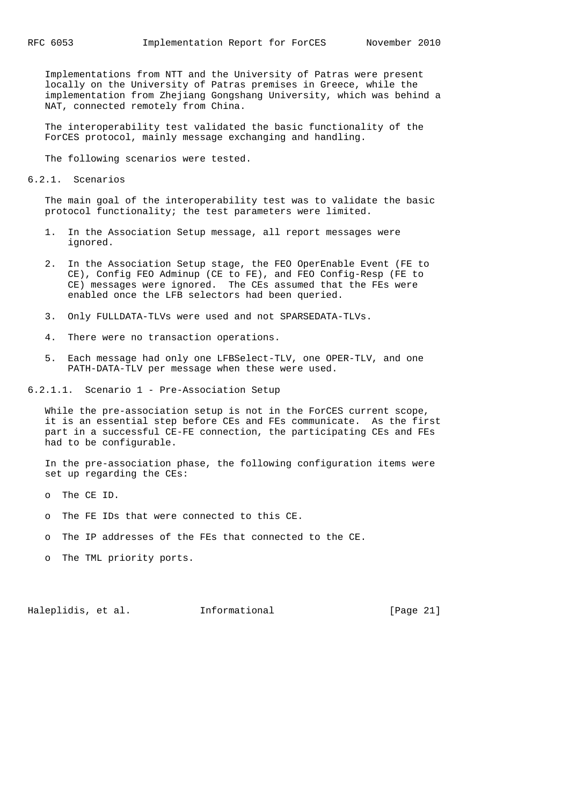Implementations from NTT and the University of Patras were present locally on the University of Patras premises in Greece, while the implementation from Zhejiang Gongshang University, which was behind a NAT, connected remotely from China.

 The interoperability test validated the basic functionality of the ForCES protocol, mainly message exchanging and handling.

The following scenarios were tested.

6.2.1. Scenarios

 The main goal of the interoperability test was to validate the basic protocol functionality; the test parameters were limited.

- 1. In the Association Setup message, all report messages were ignored.
- 2. In the Association Setup stage, the FEO OperEnable Event (FE to CE), Config FEO Adminup (CE to FE), and FEO Config-Resp (FE to CE) messages were ignored. The CEs assumed that the FEs were enabled once the LFB selectors had been queried.
- 3. Only FULLDATA-TLVs were used and not SPARSEDATA-TLVs.
- 4. There were no transaction operations.
- 5. Each message had only one LFBSelect-TLV, one OPER-TLV, and one PATH-DATA-TLV per message when these were used.

6.2.1.1. Scenario 1 - Pre-Association Setup

 While the pre-association setup is not in the ForCES current scope, it is an essential step before CEs and FEs communicate. As the first part in a successful CE-FE connection, the participating CEs and FEs had to be configurable.

 In the pre-association phase, the following configuration items were set up regarding the CEs:

- o The CE ID.
- o The FE IDs that were connected to this CE.
- o The IP addresses of the FEs that connected to the CE.
- o The TML priority ports.

Haleplidis, et al. 1nformational [Page 21]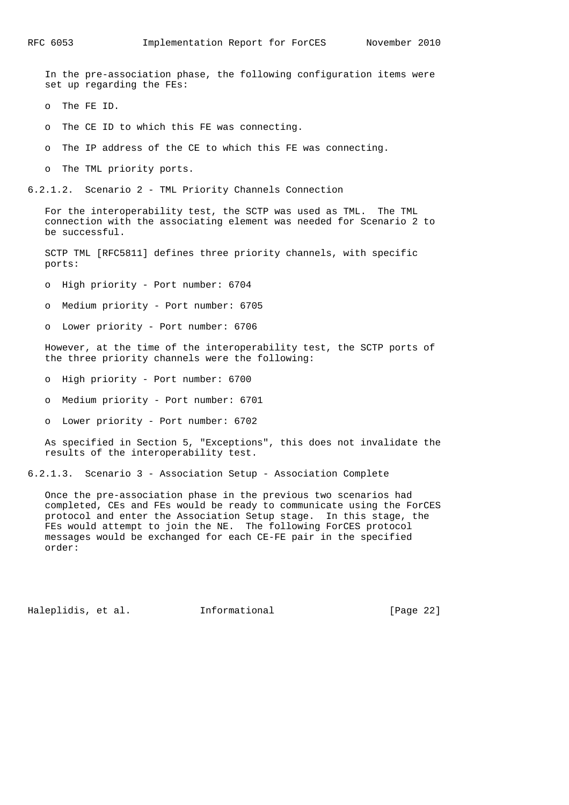In the pre-association phase, the following configuration items were set up regarding the FEs:

o The FE ID.

o The CE ID to which this FE was connecting.

o The IP address of the CE to which this FE was connecting.

o The TML priority ports.

6.2.1.2. Scenario 2 - TML Priority Channels Connection

 For the interoperability test, the SCTP was used as TML. The TML connection with the associating element was needed for Scenario 2 to be successful.

 SCTP TML [RFC5811] defines three priority channels, with specific ports:

o High priority - Port number: 6704

o Medium priority - Port number: 6705

o Lower priority - Port number: 6706

 However, at the time of the interoperability test, the SCTP ports of the three priority channels were the following:

o High priority - Port number: 6700

o Medium priority - Port number: 6701

o Lower priority - Port number: 6702

 As specified in Section 5, "Exceptions", this does not invalidate the results of the interoperability test.

6.2.1.3. Scenario 3 - Association Setup - Association Complete

 Once the pre-association phase in the previous two scenarios had completed, CEs and FEs would be ready to communicate using the ForCES protocol and enter the Association Setup stage. In this stage, the FEs would attempt to join the NE. The following ForCES protocol messages would be exchanged for each CE-FE pair in the specified order:

Haleplidis, et al. Informational [Page 22]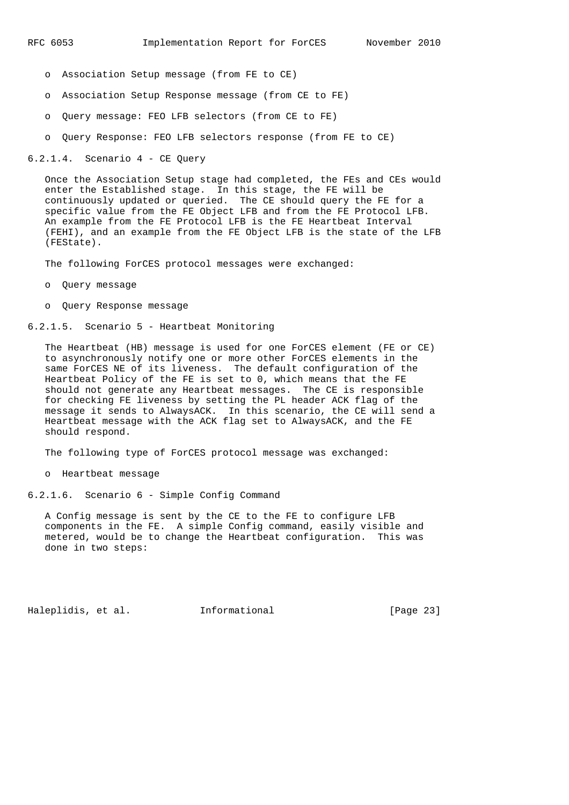- o Association Setup message (from FE to CE)
- o Association Setup Response message (from CE to FE)
- o Query message: FEO LFB selectors (from CE to FE)
- o Query Response: FEO LFB selectors response (from FE to CE)

6.2.1.4. Scenario 4 - CE Query

 Once the Association Setup stage had completed, the FEs and CEs would enter the Established stage. In this stage, the FE will be continuously updated or queried. The CE should query the FE for a specific value from the FE Object LFB and from the FE Protocol LFB. An example from the FE Protocol LFB is the FE Heartbeat Interval (FEHI), and an example from the FE Object LFB is the state of the LFB (FEState).

The following ForCES protocol messages were exchanged:

- o Query message
- o Query Response message
- 6.2.1.5. Scenario 5 Heartbeat Monitoring

 The Heartbeat (HB) message is used for one ForCES element (FE or CE) to asynchronously notify one or more other ForCES elements in the same ForCES NE of its liveness. The default configuration of the Heartbeat Policy of the FE is set to 0, which means that the FE should not generate any Heartbeat messages. The CE is responsible for checking FE liveness by setting the PL header ACK flag of the message it sends to AlwaysACK. In this scenario, the CE will send a Heartbeat message with the ACK flag set to AlwaysACK, and the FE should respond.

The following type of ForCES protocol message was exchanged:

o Heartbeat message

6.2.1.6. Scenario 6 - Simple Config Command

 A Config message is sent by the CE to the FE to configure LFB components in the FE. A simple Config command, easily visible and metered, would be to change the Heartbeat configuration. This was done in two steps:

Haleplidis, et al. Informational [Page 23]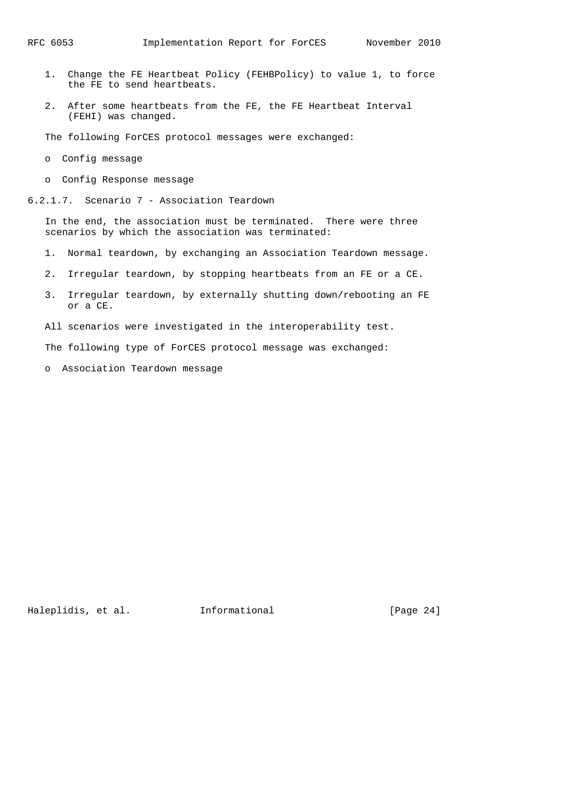- 1. Change the FE Heartbeat Policy (FEHBPolicy) to value 1, to force the FE to send heartbeats.
- 2. After some heartbeats from the FE, the FE Heartbeat Interval (FEHI) was changed.

The following ForCES protocol messages were exchanged:

- o Config message
- o Config Response message
- 6.2.1.7. Scenario 7 Association Teardown

 In the end, the association must be terminated. There were three scenarios by which the association was terminated:

- 1. Normal teardown, by exchanging an Association Teardown message.
- 2. Irregular teardown, by stopping heartbeats from an FE or a CE.
- 3. Irregular teardown, by externally shutting down/rebooting an FE or a CE.
- All scenarios were investigated in the interoperability test.

The following type of ForCES protocol message was exchanged:

o Association Teardown message

Haleplidis, et al. Informational [Page 24]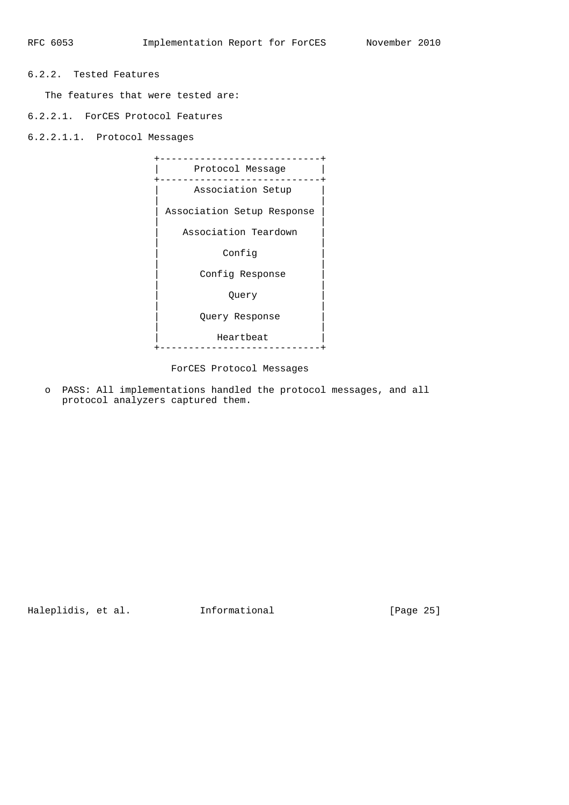# 6.2.2. Tested Features

The features that were tested are:

6.2.2.1. ForCES Protocol Features

6.2.2.1.1. Protocol Messages



ForCES Protocol Messages

 o PASS: All implementations handled the protocol messages, and all protocol analyzers captured them.

Haleplidis, et al. 1nformational [Page 25]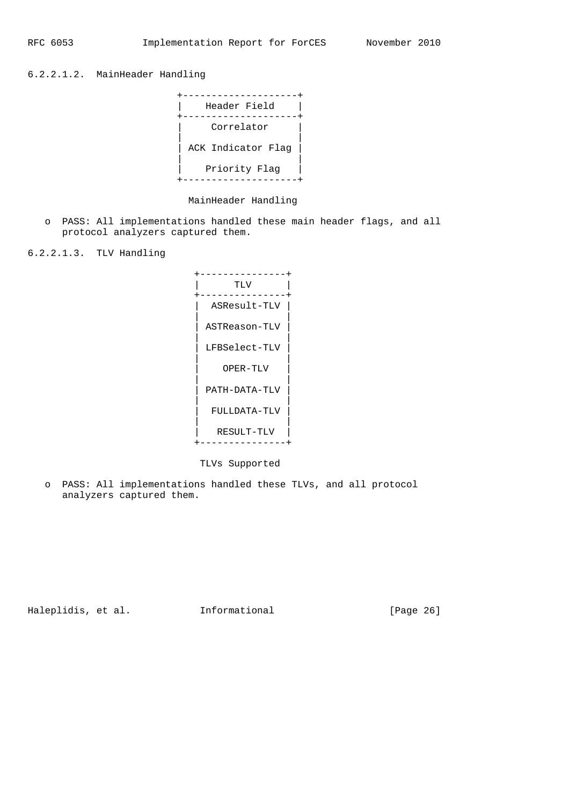6.2.2.1.2. MainHeader Handling



MainHeader Handling

 o PASS: All implementations handled these main header flags, and all protocol analyzers captured them.

6.2.2.1.3. TLV Handling



TLVs Supported

 o PASS: All implementations handled these TLVs, and all protocol analyzers captured them.

Haleplidis, et al. 1nformational [Page 26]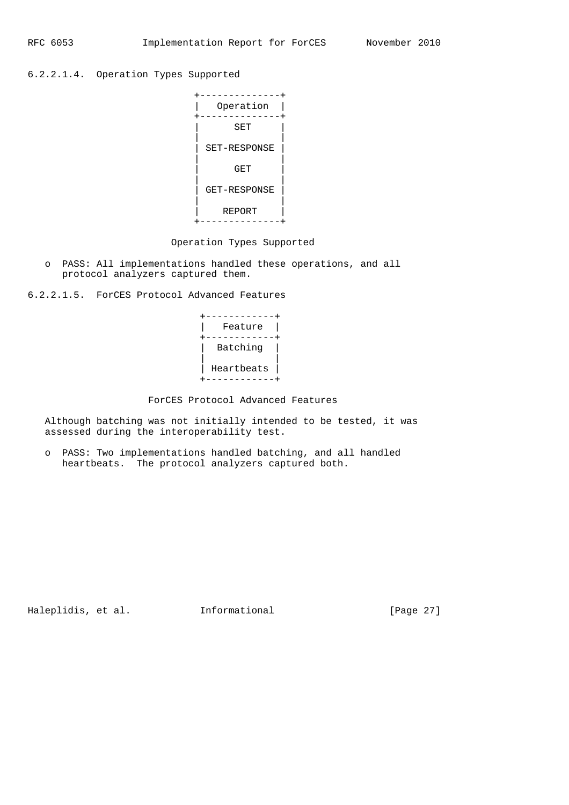6.2.2.1.4. Operation Types Supported



## Operation Types Supported

 o PASS: All implementations handled these operations, and all protocol analyzers captured them.

6.2.2.1.5. ForCES Protocol Advanced Features



## ForCES Protocol Advanced Features

 Although batching was not initially intended to be tested, it was assessed during the interoperability test.

 o PASS: Two implementations handled batching, and all handled heartbeats. The protocol analyzers captured both.

Haleplidis, et al. 1nformational [Page 27]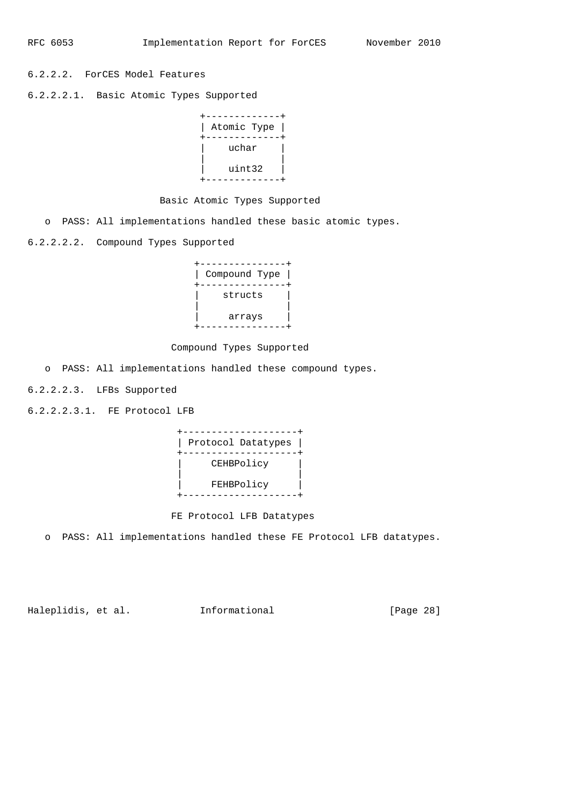6.2.2.2. ForCES Model Features

6.2.2.2.1. Basic Atomic Types Supported



## Basic Atomic Types Supported

o PASS: All implementations handled these basic atomic types.

6.2.2.2.2. Compound Types Supported

| Compound Type |
|---------------|
| structs       |
| arrays        |

## Compound Types Supported

o PASS: All implementations handled these compound types.

6.2.2.2.3. LFBs Supported

6.2.2.2.3.1. FE Protocol LFB



## FE Protocol LFB Datatypes

o PASS: All implementations handled these FE Protocol LFB datatypes.

Haleplidis, et al. 1nformational [Page 28]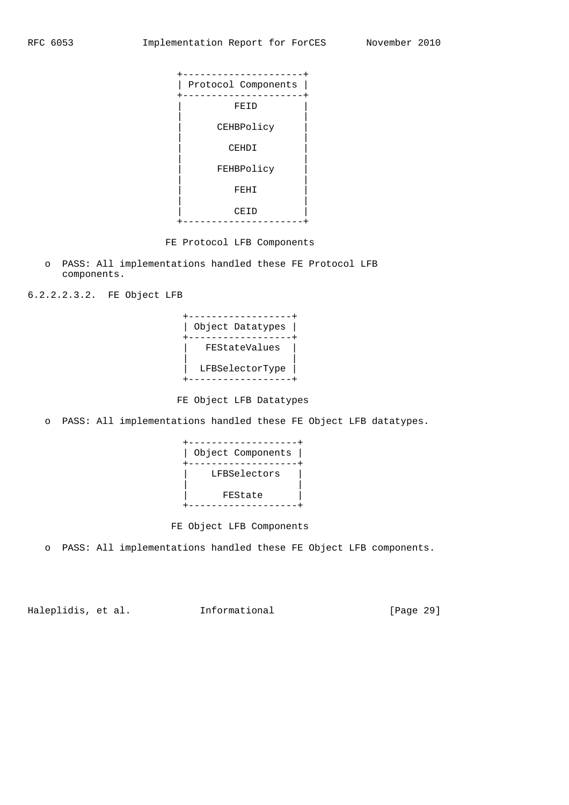

FE Protocol LFB Components

 o PASS: All implementations handled these FE Protocol LFB components.

6.2.2.2.3.2. FE Object LFB



FE Object LFB Datatypes

o PASS: All implementations handled these FE Object LFB datatypes.

| Object Components |  |
|-------------------|--|
| LFBSelectors      |  |
| FEState           |  |
|                   |  |

FE Object LFB Components

o PASS: All implementations handled these FE Object LFB components.

Haleplidis, et al. 1nformational [Page 29]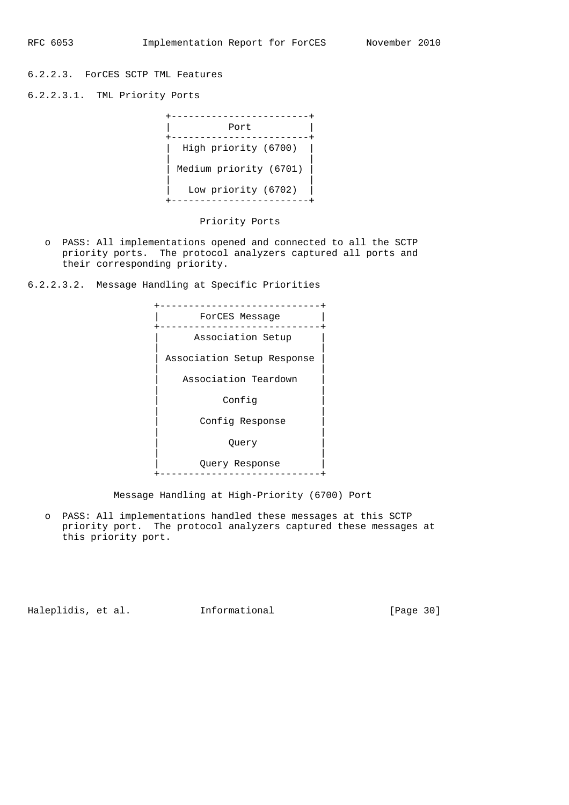6.2.2.3. ForCES SCTP TML Features

6.2.2.3.1. TML Priority Ports

| Port                   |
|------------------------|
| High priority (6700)   |
| Medium priority (6701) |
| Low priority (6702)    |

## Priority Ports

 o PASS: All implementations opened and connected to all the SCTP priority ports. The protocol analyzers captured all ports and their corresponding priority.

6.2.2.3.2. Message Handling at Specific Priorities



Message Handling at High-Priority (6700) Port

 o PASS: All implementations handled these messages at this SCTP priority port. The protocol analyzers captured these messages at this priority port.

Haleplidis, et al. 1nformational [Page 30]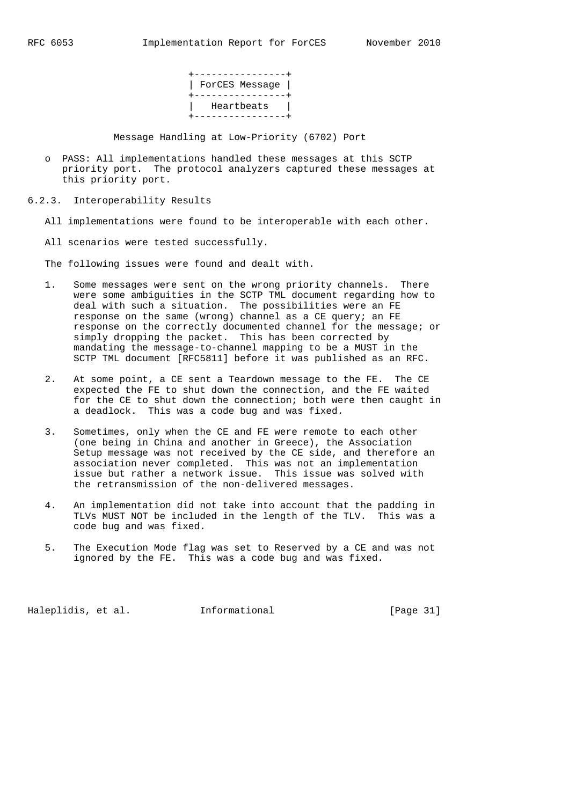+----------------+ | ForCES Message | +----------------+ | Heartbeats | +----------------+

Message Handling at Low-Priority (6702) Port

- o PASS: All implementations handled these messages at this SCTP priority port. The protocol analyzers captured these messages at this priority port.
- 6.2.3. Interoperability Results

All implementations were found to be interoperable with each other.

All scenarios were tested successfully.

The following issues were found and dealt with.

- 1. Some messages were sent on the wrong priority channels. There were some ambiguities in the SCTP TML document regarding how to deal with such a situation. The possibilities were an FE response on the same (wrong) channel as a CE query; an FE response on the correctly documented channel for the message; or simply dropping the packet. This has been corrected by mandating the message-to-channel mapping to be a MUST in the SCTP TML document [RFC5811] before it was published as an RFC.
	- 2. At some point, a CE sent a Teardown message to the FE. The CE expected the FE to shut down the connection, and the FE waited for the CE to shut down the connection; both were then caught in a deadlock. This was a code bug and was fixed.
	- 3. Sometimes, only when the CE and FE were remote to each other (one being in China and another in Greece), the Association Setup message was not received by the CE side, and therefore an association never completed. This was not an implementation issue but rather a network issue. This issue was solved with the retransmission of the non-delivered messages.
	- 4. An implementation did not take into account that the padding in TLVs MUST NOT be included in the length of the TLV. This was a code bug and was fixed.
	- 5. The Execution Mode flag was set to Reserved by a CE and was not ignored by the FE. This was a code bug and was fixed.

Haleplidis, et al. 1nformational [Page 31]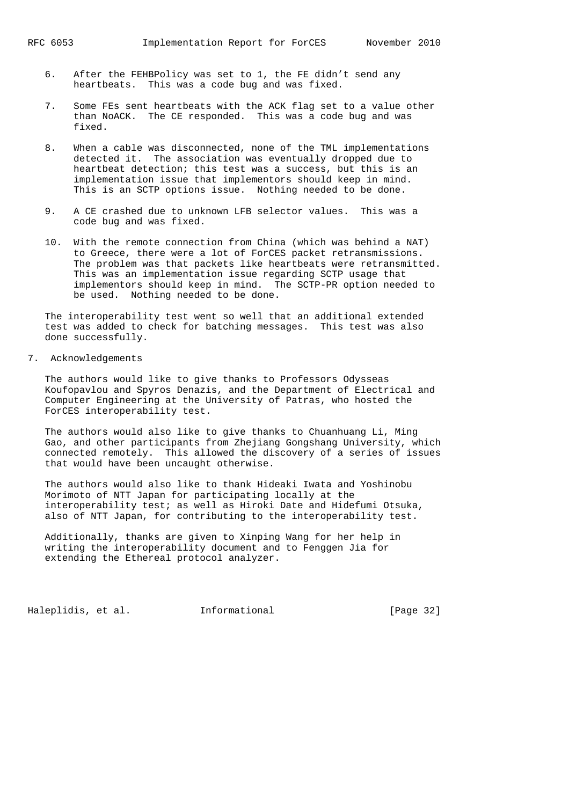- 6. After the FEHBPolicy was set to 1, the FE didn't send any heartbeats. This was a code bug and was fixed.
- 7. Some FEs sent heartbeats with the ACK flag set to a value other than NoACK. The CE responded. This was a code bug and was fixed.
- 8. When a cable was disconnected, none of the TML implementations detected it. The association was eventually dropped due to heartbeat detection; this test was a success, but this is an implementation issue that implementors should keep in mind. This is an SCTP options issue. Nothing needed to be done.
- 9. A CE crashed due to unknown LFB selector values. This was a code bug and was fixed.
- 10. With the remote connection from China (which was behind a NAT) to Greece, there were a lot of ForCES packet retransmissions. The problem was that packets like heartbeats were retransmitted. This was an implementation issue regarding SCTP usage that implementors should keep in mind. The SCTP-PR option needed to be used. Nothing needed to be done.

 The interoperability test went so well that an additional extended test was added to check for batching messages. This test was also done successfully.

7. Acknowledgements

 The authors would like to give thanks to Professors Odysseas Koufopavlou and Spyros Denazis, and the Department of Electrical and Computer Engineering at the University of Patras, who hosted the ForCES interoperability test.

 The authors would also like to give thanks to Chuanhuang Li, Ming Gao, and other participants from Zhejiang Gongshang University, which connected remotely. This allowed the discovery of a series of issues that would have been uncaught otherwise.

 The authors would also like to thank Hideaki Iwata and Yoshinobu Morimoto of NTT Japan for participating locally at the interoperability test; as well as Hiroki Date and Hidefumi Otsuka, also of NTT Japan, for contributing to the interoperability test.

 Additionally, thanks are given to Xinping Wang for her help in writing the interoperability document and to Fenggen Jia for extending the Ethereal protocol analyzer.

Haleplidis, et al. 1nformational [Page 32]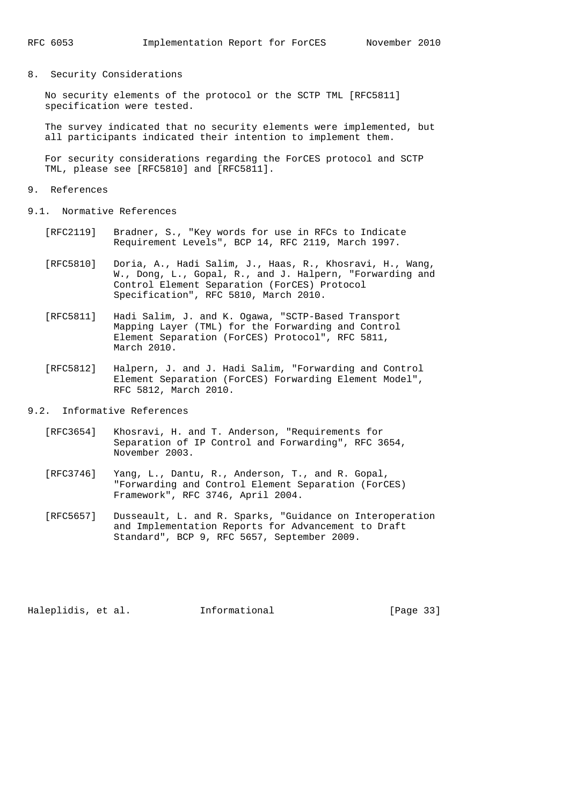8. Security Considerations

 No security elements of the protocol or the SCTP TML [RFC5811] specification were tested.

 The survey indicated that no security elements were implemented, but all participants indicated their intention to implement them.

 For security considerations regarding the ForCES protocol and SCTP TML, please see [RFC5810] and [RFC5811].

#### 9. References

9.1. Normative References

- [RFC2119] Bradner, S., "Key words for use in RFCs to Indicate Requirement Levels", BCP 14, RFC 2119, March 1997.
- [RFC5810] Doria, A., Hadi Salim, J., Haas, R., Khosravi, H., Wang, W., Dong, L., Gopal, R., and J. Halpern, "Forwarding and Control Element Separation (ForCES) Protocol Specification", RFC 5810, March 2010.
- [RFC5811] Hadi Salim, J. and K. Ogawa, "SCTP-Based Transport Mapping Layer (TML) for the Forwarding and Control Element Separation (ForCES) Protocol", RFC 5811, March 2010.
- [RFC5812] Halpern, J. and J. Hadi Salim, "Forwarding and Control Element Separation (ForCES) Forwarding Element Model", RFC 5812, March 2010.
- 9.2. Informative References
	- [RFC3654] Khosravi, H. and T. Anderson, "Requirements for Separation of IP Control and Forwarding", RFC 3654, November 2003.
	- [RFC3746] Yang, L., Dantu, R., Anderson, T., and R. Gopal, "Forwarding and Control Element Separation (ForCES) Framework", RFC 3746, April 2004.
	- [RFC5657] Dusseault, L. and R. Sparks, "Guidance on Interoperation and Implementation Reports for Advancement to Draft Standard", BCP 9, RFC 5657, September 2009.

Haleplidis, et al. Informational [Page 33]